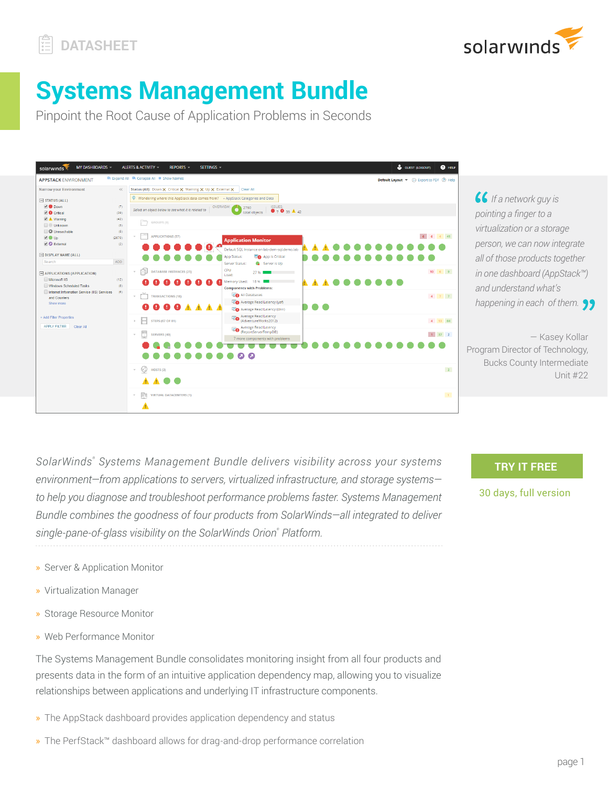



# **Systems Management Bundle**

Pinpoint the Root Cause of Application Problems in Seconds



*<u><i>f*</del> If a network guy is</u> *pointing a finger to a virtualization or a storage person, we can now integrate all of those products together in one dashboard (AppStack™) and understand what's happening in each of them.*

— Kasey Kollar Program Director of Technology, Bucks County Intermediate Unit #22

*SolarWinds®  [Systems Management Bundle](http://www.solarwinds.com/application-server-management-software.aspx) delivers visibility across your systems environment—from applications to servers, virtualized infrastructure, and storage systems to help you diagnose and troubleshoot performance problems faster. Systems Management Bundle combines the goodness of four products from SolarWinds—all integrated to deliver single-pane-of-glass visibility on the SolarWinds Orion® Platform.*

**TRY IT FREE**

30 days, full version

- » Server & Application Monitor
- » Virtualization Manager
- » Storage Resource Monitor
- » Web Performance Monitor

The Systems Management Bundle consolidates monitoring insight from all four products and presents data in the form of an intuitive application dependency map, allowing you to visualize relationships between applications and underlying IT infrastructure components.

- » The AppStack dashboard provides application dependency and status
- » The PerfStack™ dashboard allows for drag-and-drop performance correlation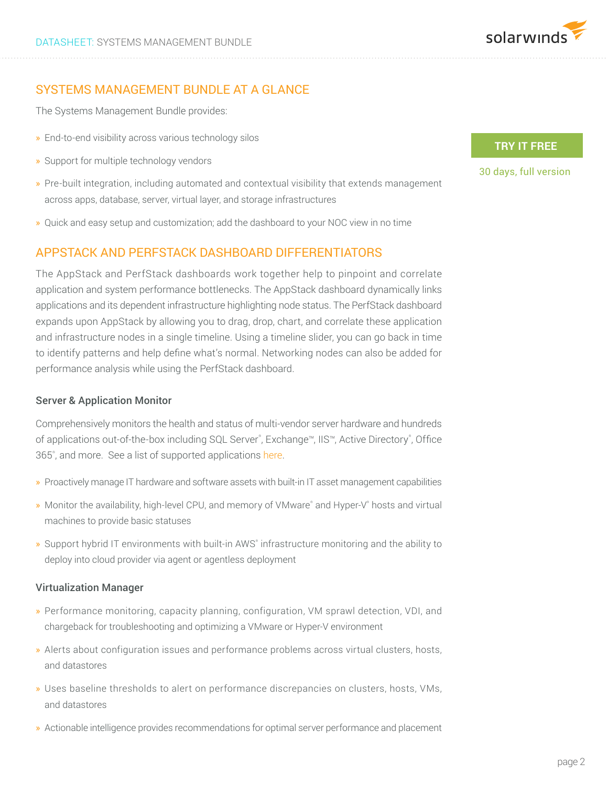

# SYSTEMS MANAGEMENT BUNDLE AT A GLANCE

The Systems Management Bundle provides:

- » End-to-end visibility across various technology silos
- » Support for multiple technology vendors
- » Pre-built integration, including automated and contextual visibility that extends management across apps, database, server, virtual layer, and storage infrastructures
- » Quick and easy setup and customization; add the dashboard to your NOC view in no time

# APPSTACK AND PERFSTACK DASHBOARD DIFFERENTIATORS

The AppStack and PerfStack dashboards work together help to pinpoint and correlate application and system performance bottlenecks. The AppStack dashboard dynamically links applications and its dependent infrastructure highlighting node status. The PerfStack dashboard expands upon AppStack by allowing you to drag, drop, chart, and correlate these application and infrastructure nodes in a single timeline. Using a timeline slider, you can go back in time to identify patterns and help define what's normal. Networking nodes can also be added for performance analysis while using the PerfStack dashboard.

### Server & Application Monitor

Comprehensively monitors the health and status of multi-vendor server hardware and hundreds of applications out-of-the-box including SQL Server®, Exchange™, IIS™, Active Directory®, Office 365°, and more. See a list of supported applications [here](http://www.solarwinds.com/sam/suported-vendors.aspx).

- » Proactively manage IT hardware and software assets with built-in IT asset management capabilities
- » Monitor the availability, high-level CPU, and memory of VMware® and Hyper-V® hosts and virtual machines to provide basic statuses
- » Support hybrid IT environments with built-in AWS® infrastructure monitoring and the ability to deploy into cloud provider via agent or agentless deployment

### Virtualization Manager

- » Performance monitoring, capacity planning, configuration, VM sprawl detection, VDI, and chargeback for troubleshooting and optimizing a VMware or Hyper-V environment
- » Alerts about configuration issues and performance problems across virtual clusters, hosts, and datastores
- » Uses baseline thresholds to alert on performance discrepancies on clusters, hosts, VMs, and datastores
- » Actionable intelligence provides recommendations for optimal server performance and placement

## **TRY IT FREE**

30 days, full version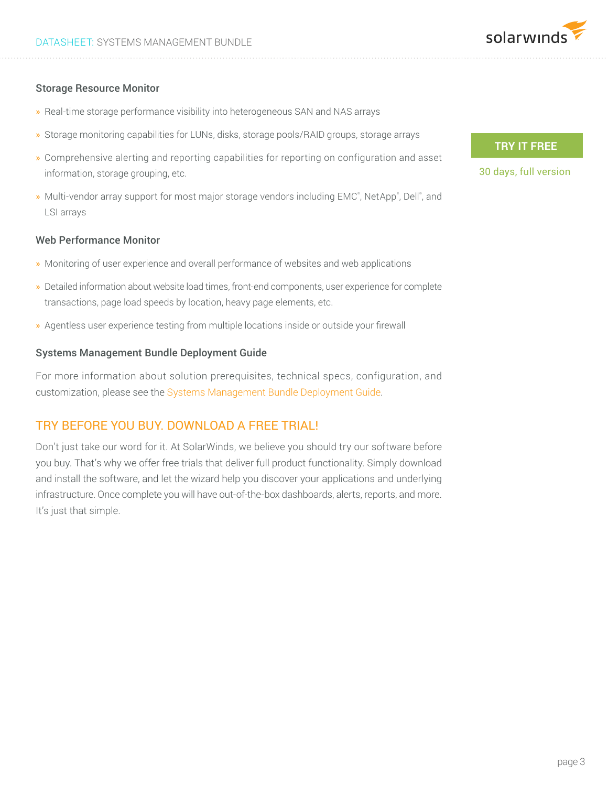

## Storage Resource Monitor

- » Real-time storage performance visibility into heterogeneous SAN and NAS arrays
- » Storage monitoring capabilities for LUNs, disks, storage pools/RAID groups, storage arrays
- » Comprehensive alerting and reporting capabilities for reporting on configuration and asset information, storage grouping, etc.
- » Multi-vendor array support for most major storage vendors including EMC®, NetApp®, Dell®, and LSI arrays

## Web Performance Monitor

- » Monitoring of user experience and overall performance of websites and web applications
- » Detailed information about website load times, front-end components, user experience for complete transactions, page load speeds by location, heavy page elements, etc.
- » Agentless user experience testing from multiple locations inside or outside your firewall

#### Systems Management Bundle Deployment Guide

For more information about solution prerequisites, technical specs, configuration, and customization, please see the [Systems Management Bundle Deployment Guide](http://www.solarwinds.com/register/registrationb.aspx?program=20111&c=70150000000PBbo).

## TRY BEFORE YOU BUY. DOWNLOAD A FREE TRIAL!

Don't just take our word for it. At SolarWinds, we believe you should try our software before you buy. That's why we offer free trials that deliver full product functionality. Simply download and install the software, and let the wizard help you discover your applications and underlying infrastructure. Once complete you will have out-of-the-box dashboards, alerts, reports, and more. It's just that simple.

## **TRY IT FREE**

30 days, full version